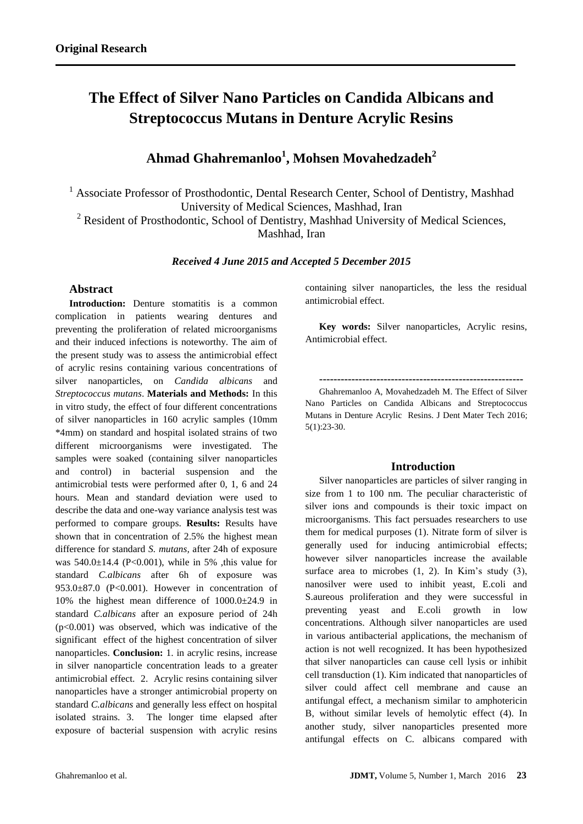# **The Effect of Silver Nano Particles on Candida Albicans and Streptococcus Mutans in Denture Acrylic Resins**

## **Ahmad Ghahremanloo<sup>1</sup> , Mohsen Movahedzadeh<sup>2</sup>**

<sup>1</sup> Associate Professor of Prosthodontic, Dental Research Center, School of Dentistry, Mashhad University of Medical Sciences, Mashhad, Iran

<sup>2</sup> Resident of Prosthodontic, School of Dentistry, Mashhad University of Medical Sciences,

Mashhad, Iran

*Received 4 June 2015 and Accepted 5 December 2015*

## **Abstract**

**Introduction:** Denture stomatitis is a common complication in patients wearing dentures and preventing the proliferation of related microorganisms and their induced infections is noteworthy. The aim of the present study was to assess the antimicrobial effect of acrylic resins containing various concentrations of silver nanoparticles, on *Candida albicans* and *Streptococcus mutans*. **Materials and Methods:** In this in vitro study, the effect of four different concentrations of silver nanoparticles in 160 acrylic samples (10mm \*4mm) on standard and hospital isolated strains of two different microorganisms were investigated. The samples were soaked (containing silver nanoparticles and control) in bacterial suspension and the antimicrobial tests were performed after 0, 1, 6 and 24 hours. Mean and standard deviation were used to describe the data and one-way variance analysis test was performed to compare groups. **Results:** Results have shown that in concentration of 2.5% the highest mean difference for standard *S. mutans,* after 24h of exposure was  $540.0 \pm 14.4$  (P<0.001), while in 5% , this value for standard *C.albicans* after 6h of exposure was 953.0 $\pm$ 87.0 (P<0.001). However in concentration of 10% the highest mean difference of 1000.0±24.9 in standard *C.albicans* after an exposure period of 24h  $(p<0.001)$  was observed, which was indicative of the significant effect of the highest concentration of silver nanoparticles. **Conclusion:** 1. in acrylic resins, increase in silver nanoparticle concentration leads to a greater antimicrobial effect. 2. Acrylic resins containing silver nanoparticles have a stronger antimicrobial property on standard *C.albicans* and generally less effect on hospital isolated strains. 3. The longer time elapsed after exposure of bacterial suspension with acrylic resins

containing silver nanoparticles, the less the residual antimicrobial effect.

**Key words:** Silver nanoparticles, Acrylic resins, Antimicrobial effect.

## **---------------------------------------------------------**

Ghahremanloo A, Movahedzadeh M. The Effect of Silver Nano Particles on Candida Albicans and Streptococcus Mutans in Denture Acrylic Resins. J Dent Mater Tech 2016; 5(1):23-30.

## **Introduction**

Silver nanoparticles are particles of silver ranging in size from 1 to 100 nm. The peculiar characteristic of silver ions and compounds is their toxic impact on microorganisms. This fact persuades researchers to use them for medical purposes (1). Nitrate form of silver is generally used for inducing antimicrobial effects; however silver nanoparticles increase the available surface area to microbes  $(1, 2)$ . In Kim's study  $(3)$ , nanosilver were used to inhibit yeast, E.coli and S.aureous proliferation and they were successful in preventing yeast and E.coli growth in low concentrations. Although silver nanoparticles are used in various antibacterial applications, the mechanism of action is not well recognized. It has been hypothesized that silver nanoparticles can cause cell lysis or inhibit cell transduction (1). Kim indicated that nanoparticles of silver could affect cell membrane and cause an antifungal effect, a mechanism similar to amphotericin B, without similar levels of hemolytic effect (4). In another study, silver nanoparticles presented more antifungal effects on C. albicans compared with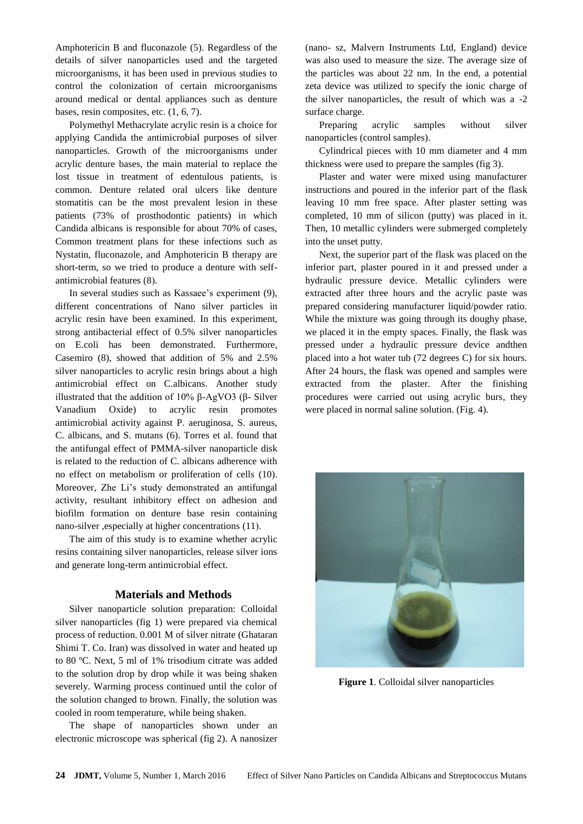Amphotericin B and fluconazole (5). Regardless of the details of silver nanoparticles used and the targeted microorganisms, it has been used in previous studies to control the colonization of certain microorganisms around medical or dental appliances such as denture bases, resin composites, etc. (1, 6, 7).

Polymethyl Methacrylate acrylic resin is a choice for applying Candida the antimicrobial purposes of silver nanoparticles. Growth of the microorganisms under acrylic denture bases, the main material to replace the lost tissue in treatment of edentulous patients, is common. Denture related oral ulcers like denture stomatitis can be the most prevalent lesion in these patients (73% of prosthodontic patients) in which Candida albicans is responsible for about 70% of cases, Common treatment plans for these infections such as Nystatin, fluconazole, and Amphotericin B therapy are short-term, so we tried to produce a denture with selfantimicrobial features (8).

In several studies such as Kassaee's experiment (9), different concentrations of Nano silver particles in acrylic resin have been examined. In this experiment, strong antibacterial effect of 0.5% silver nanoparticles on E.coli has been demonstrated. Furthermore, Casemiro (8), showed that addition of 5% and 2.5% silver nanoparticles to acrylic resin brings about a high antimicrobial effect on C.albicans. Another study illustrated that the addition of 10% β-AgVO3 (β- Silver Vanadium Oxide) to acrylic resin promotes antimicrobial activity against P. aeruginosa, S. aureus, C. albicans, and S. mutans (6). Torres et al. found that the antifungal effect of PMMA-silver nanoparticle disk is related to the reduction of C. albicans adherence with no effect on metabolism or proliferation of cells (10). Moreover, Zhe Li's study demonstrated an antifungal activity, resultant inhibitory effect on adhesion and biofilm formation on denture base resin containing nano-silver , especially at higher concentrations (11).

The aim of this study is to examine whether acrylic resins containing silver nanoparticles, release silver ions and generate long-term antimicrobial effect.

## **Materials and Methods**

Silver nanoparticle solution preparation: Colloidal silver nanoparticles (fig 1) were prepared via chemical process of reduction. 0.001 M of silver nitrate (Ghataran Shimi T. Co. Iran) was dissolved in water and heated up to 80 ºC. Next, 5 ml of 1% trisodium citrate was added to the solution drop by drop while it was being shaken severely. Warming process continued until the color of the solution changed to brown. Finally, the solution was cooled in room temperature, while being shaken.

The shape of nanoparticles shown under an electronic microscope was spherical (fig 2). A nanosizer

(nano- sz, Malvern Instruments Ltd, England) device was also used to measure the size. The average size of the particles was about 22 nm. In the end, a potential zeta device was utilized to specify the ionic charge of the silver nanoparticles, the result of which was a -2 surface charge.

Preparing acrylic samples without silver nanoparticles (control samples).

Cylindrical pieces with 10 mm diameter and 4 mm thickness were used to prepare the samples (fig 3).

Plaster and water were mixed using manufacturer instructions and poured in the inferior part of the flask leaving 10 mm free space. After plaster setting was completed, 10 mm of silicon (putty) was placed in it. Then, 10 metallic cylinders were submerged completely into the unset putty.

Next, the superior part of the flask was placed on the inferior part, plaster poured in it and pressed under a hydraulic pressure device. Metallic cylinders were extracted after three hours and the acrylic paste was prepared considering manufacturer liquid/powder ratio. While the mixture was going through its doughy phase, we placed it in the empty spaces. Finally, the flask was pressed under a hydraulic pressure device andthen placed into a hot water tub (72 degrees C) for six hours. After 24 hours, the flask was opened and samples were extracted from the plaster. After the finishing procedures were carried out using acrylic burs, they were placed in normal saline solution. (Fig. 4).



**Figure 1**. Colloidal silver nanoparticles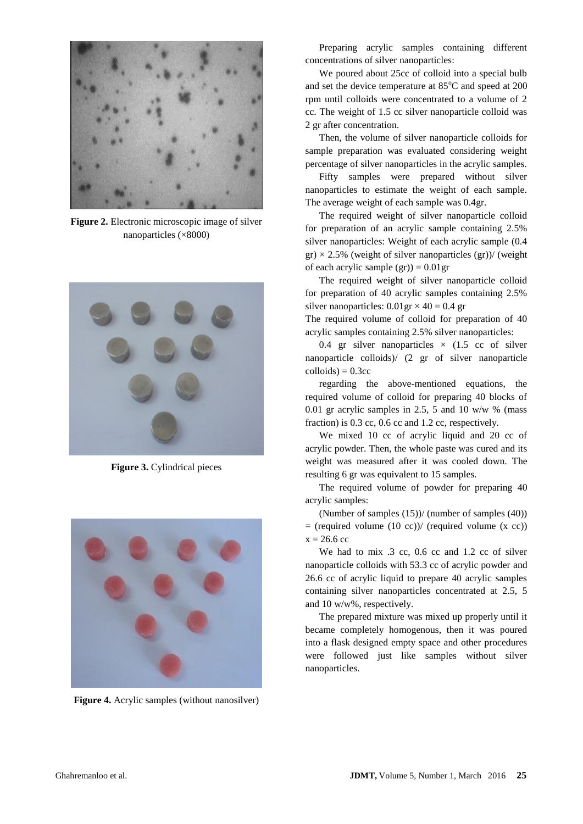

**Figure 2.** Electronic microscopic image of silver nanoparticles (×8000)



**Figure 3.** Cylindrical pieces



**Figure 4.** Acrylic samples (without nanosilver)

Preparing acrylic samples containing different concentrations of silver nanoparticles:

We poured about 25cc of colloid into a special bulb and set the device temperature at  $85^{\circ}$ C and speed at 200 rpm until colloids were concentrated to a volume of 2 cc. The weight of 1.5 cc silver nanoparticle colloid was 2 gr after concentration.

Then, the volume of silver nanoparticle colloids for sample preparation was evaluated considering weight percentage of silver nanoparticles in the acrylic samples.

Fifty samples were prepared without silver nanoparticles to estimate the weight of each sample. The average weight of each sample was 0.4gr.

The required weight of silver nanoparticle colloid for preparation of an acrylic sample containing 2.5% silver nanoparticles: Weight of each acrylic sample (0.4  $gr) \times 2.5\%$  (weight of silver nanoparticles  $(gr)$ )/ (weight of each acrylic sample  $(gr)$  = 0.01gr

The required weight of silver nanoparticle colloid for preparation of 40 acrylic samples containing 2.5% silver nanoparticles:  $0.01 \text{gr} \times 40 = 0.4 \text{ gr}$ 

The required volume of colloid for preparation of 40 acrylic samples containing 2.5% silver nanoparticles:

0.4 gr silver nanoparticles  $\times$  (1.5 cc of silver nanoparticle colloids)/ (2 gr of silver nanoparticle  $\text{colloids}$ ) = 0.3 $\text{cc}$ 

regarding the above-mentioned equations, the required volume of colloid for preparing 40 blocks of 0.01 gr acrylic samples in 2.5, 5 and 10 w/w  $%$  (mass fraction) is 0.3 cc, 0.6 cc and 1.2 cc, respectively.

We mixed 10 cc of acrylic liquid and 20 cc of acrylic powder. Then, the whole paste was cured and its weight was measured after it was cooled down. The resulting 6 gr was equivalent to 15 samples.

The required volume of powder for preparing 40 acrylic samples:

(Number of samples (15))/ (number of samples (40))  $=$  (required volume (10 cc))/ (required volume (x cc))  $x = 26.6$  cc

We had to mix .3 cc, 0.6 cc and 1.2 cc of silver nanoparticle colloids with 53.3 cc of acrylic powder and 26.6 cc of acrylic liquid to prepare 40 acrylic samples containing silver nanoparticles concentrated at 2.5, 5 and 10 w/w%, respectively.

The prepared mixture was mixed up properly until it became completely homogenous, then it was poured into a flask designed empty space and other procedures were followed just like samples without silver nanoparticles.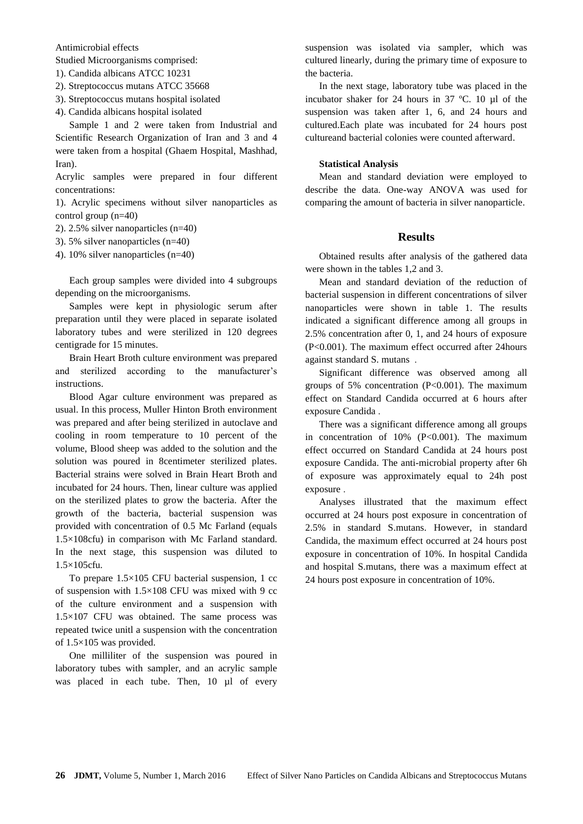Antimicrobial effects

Studied Microorganisms comprised:

- 1). Candida albicans ATCC 10231
- 2). Streptococcus mutans ATCC 35668
- 3). Streptococcus mutans hospital isolated
- 4). Candida albicans hospital isolated

Sample 1 and 2 were taken from Industrial and Scientific Research Organization of Iran and 3 and 4 were taken from a hospital (Ghaem Hospital, Mashhad, Iran).

Acrylic samples were prepared in four different concentrations:

1). Acrylic specimens without silver nanoparticles as control group (n=40)

2). 2.5% silver nanoparticles (n=40)

- 3). 5% silver nanoparticles (n=40)
- 4). 10% silver nanoparticles (n=40)

Each group samples were divided into 4 subgroups depending on the microorganisms.

Samples were kept in physiologic serum after preparation until they were placed in separate isolated laboratory tubes and were sterilized in 120 degrees centigrade for 15 minutes.

Brain Heart Broth culture environment was prepared and sterilized according to the manufacturer's instructions.

Blood Agar culture environment was prepared as usual. In this process, Muller Hinton Broth environment was prepared and after being sterilized in autoclave and cooling in room temperature to 10 percent of the volume, Blood sheep was added to the solution and the solution was poured in 8centimeter sterilized plates. Bacterial strains were solved in Brain Heart Broth and incubated for 24 hours. Then, linear culture was applied on the sterilized plates to grow the bacteria. After the growth of the bacteria, bacterial suspension was provided with concentration of 0.5 Mc Farland (equals 1.5×108cfu) in comparison with Mc Farland standard. In the next stage, this suspension was diluted to 1.5×105cfu.

To prepare 1.5×105 CFU bacterial suspension, 1 cc of suspension with 1.5×108 CFU was mixed with 9 cc of the culture environment and a suspension with 1.5×107 CFU was obtained. The same process was repeated twice unitl a suspension with the concentration of 1.5×105 was provided.

One milliliter of the suspension was poured in laboratory tubes with sampler, and an acrylic sample was placed in each tube. Then, 10 µl of every

suspension was isolated via sampler, which was cultured linearly, during the primary time of exposure to the bacteria.

In the next stage, laboratory tube was placed in the incubator shaker for 24 hours in 37 ºC. 10 µl of the suspension was taken after 1, 6, and 24 hours and cultured.Each plate was incubated for 24 hours post cultureand bacterial colonies were counted afterward.

#### **Statistical Analysis**

Mean and standard deviation were employed to describe the data. One-way ANOVA was used for comparing the amount of bacteria in silver nanoparticle.

## **Results**

Obtained results after analysis of the gathered data were shown in the tables 1,2 and 3.

Mean and standard deviation of the reduction of bacterial suspension in different concentrations of silver nanoparticles were shown in table 1. The results indicated a significant difference among all groups in 2.5% concentration after 0, 1, and 24 hours of exposure (P<0.001). The maximum effect occurred after 24hours against standard S. mutans .

Significant difference was observed among all groups of 5% concentration (P<0.001). The maximum effect on Standard Candida occurred at 6 hours after exposure Candida .

There was a significant difference among all groups in concentration of  $10\%$  (P<0.001). The maximum effect occurred on Standard Candida at 24 hours post exposure Candida. The anti-microbial property after 6h of exposure was approximately equal to 24h post exposure .

Analyses illustrated that the maximum effect occurred at 24 hours post exposure in concentration of 2.5% in standard S.mutans. However, in standard Candida, the maximum effect occurred at 24 hours post exposure in concentration of 10%. In hospital Candida and hospital S.mutans, there was a maximum effect at 24 hours post exposure in concentration of 10%.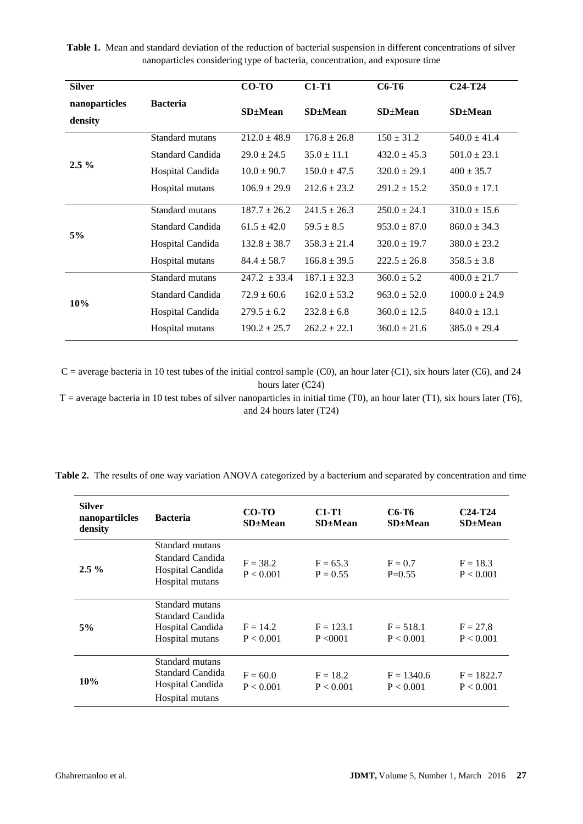**Table 1.** Mean and standard deviation of the reduction of bacterial suspension in different concentrations of silver nanoparticles considering type of bacteria, concentration, and exposure time

| <b>Silver</b>            |                  | $CO-TO$          | $C1-T1$          | C6-T6            | $C24-T24$         |
|--------------------------|------------------|------------------|------------------|------------------|-------------------|
| nanoparticles<br>density | <b>Bacteria</b>  | $SD \pm Mean$    | $SD \pm Mean$    | $SD \pm Mean$    | $SD \pm Mean$     |
| $2.5\%$                  | Standard mutans  | $212.0 \pm 48.9$ | $176.8 \pm 26.8$ | $150 \pm 31.2$   | $540.0 \pm 41.4$  |
|                          | Standard Candida | $29.0 \pm 24.5$  | $35.0 \pm 11.1$  | $432.0 \pm 45.3$ | $501.0 \pm 23.1$  |
|                          | Hospital Candida | $10.0 \pm 90.7$  | $150.0 \pm 47.5$ | $320.0 \pm 29.1$ | $400 \pm 35.7$    |
|                          | Hospital mutans  | $106.9 \pm 29.9$ | $212.6 \pm 23.2$ | $291.2 \pm 15.2$ | $350.0 \pm 17.1$  |
| 5%                       | Standard mutans  | $187.7 \pm 26.2$ | $241.5 \pm 26.3$ | $250.0 \pm 24.1$ | $310.0 \pm 15.6$  |
|                          | Standard Candida | $61.5 \pm 42.0$  | $59.5 \pm 8.5$   | $953.0 \pm 87.0$ | $860.0 \pm 34.3$  |
|                          | Hospital Candida | $132.8 \pm 38.7$ | $358.3 \pm 21.4$ | $320.0 \pm 19.7$ | $380.0 \pm 23.2$  |
|                          | Hospital mutans  | $84.4 \pm 58.7$  | $166.8 \pm 39.5$ | $222.5 \pm 26.8$ | $358.5 \pm 3.8$   |
| 10%                      | Standard mutans  | $247.2 \pm 33.4$ | $187.1 \pm 32.3$ | $360.0 \pm 5.2$  | $400.0 \pm 21.7$  |
|                          | Standard Candida | $72.9 \pm 60.6$  | $162.0 \pm 53.2$ | $963.0 \pm 52.0$ | $1000.0 \pm 24.9$ |
|                          | Hospital Candida | $279.5 \pm 6.2$  | $232.8 \pm 6.8$  | $360.0 \pm 12.5$ | $840.0 \pm 13.1$  |
|                          | Hospital mutans  | $190.2 \pm 25.7$ | $262.2 \pm 22.1$ | $360.0 \pm 21.6$ | $385.0 \pm 29.4$  |

 $C$  = average bacteria in 10 test tubes of the initial control sample (C0), an hour later (C1), six hours later (C6), and 24 hours later (C24)

 $T =$  average bacteria in 10 test tubes of silver nanoparticles in initial time (T0), an hour later (T1), six hours later (T6), and 24 hours later (T24)

| <b>Silver</b><br>nanopartilcles<br>density | <b>Bacteria</b>                                                            | CO-TO<br>SD±Mean        | C1-T1<br>$SD \pm Mean$   | C6-T6<br>$SD \pm Mean$    | $C24-T24$<br>$SD \pm Mean$ |
|--------------------------------------------|----------------------------------------------------------------------------|-------------------------|--------------------------|---------------------------|----------------------------|
| $2.5\%$                                    | Standard mutans<br>Standard Candida<br>Hospital Candida<br>Hospital mutans | $F = 38.2$<br>P < 0.001 | $F = 65.3$<br>$P = 0.55$ | $F = 0.7$<br>$P=0.55$     | $F = 18.3$<br>P < 0.001    |
| 5%                                         | Standard mutans<br>Standard Candida<br>Hospital Candida<br>Hospital mutans | $F = 14.2$<br>P < 0.001 | $F = 123.1$<br>P < 0001  | $F = 518.1$<br>P < 0.001  | $F = 27.8$<br>P < 0.001    |
| 10%                                        | Standard mutans<br>Standard Candida<br>Hospital Candida<br>Hospital mutans | $F = 60.0$<br>P < 0.001 | $F = 18.2$<br>P < 0.001  | $F = 1340.6$<br>P < 0.001 | $F = 1822.7$<br>P < 0.001  |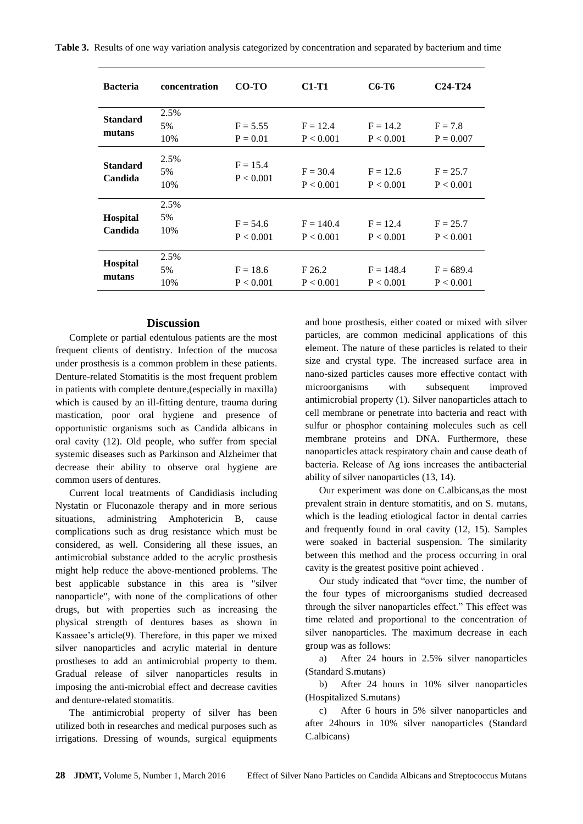**Table 3.** Results of one way variation analysis categorized by concentration and separated by bacterium and time

| <b>Bacteria</b>            | concentration     | CO-TO                    | $C1-T1$                  | C6-T6                    | $C24-T24$                |
|----------------------------|-------------------|--------------------------|--------------------------|--------------------------|--------------------------|
| <b>Standard</b><br>mutans  | 2.5%<br>5%<br>10% | $F = 5.55$<br>$P = 0.01$ | $F = 12.4$<br>P < 0.001  | $F = 14.2$<br>P < 0.001  | $F = 7.8$<br>$P = 0.007$ |
| <b>Standard</b><br>Candida | 2.5%<br>5%<br>10% | $F = 15.4$<br>P < 0.001  | $F = 30.4$<br>P < 0.001  | $F = 12.6$<br>P < 0.001  | $F = 25.7$<br>P < 0.001  |
| Hospital<br>Candida        | 2.5%<br>5%<br>10% | $F = 54.6$<br>P < 0.001  | $F = 140.4$<br>P < 0.001 | $F = 12.4$<br>P < 0.001  | $F = 25.7$<br>P < 0.001  |
| Hospital<br>mutans         | 2.5%<br>5%<br>10% | $F = 18.6$<br>P < 0.001  | F26.2<br>P < 0.001       | $F = 148.4$<br>P < 0.001 | $F = 689.4$<br>P < 0.001 |

#### **Discussion**

Complete or partial edentulous patients are the most frequent clients of dentistry. Infection of the mucosa under prosthesis is a common problem in these patients. Denture-related Stomatitis is the most frequent problem in patients with complete denture,(especially in maxilla) which is caused by an ill-fitting denture, trauma during mastication, poor oral hygiene and presence of opportunistic organisms such as Candida albicans in oral cavity (12). Old people, who suffer from special systemic diseases such as Parkinson and Alzheimer that decrease their ability to observe oral hygiene are common users of dentures.

Current local treatments of Candidiasis including Nystatin or Fluconazole therapy and in more serious situations, administring Amphotericin B, cause complications such as drug resistance which must be considered, as well. Considering all these issues, an antimicrobial substance added to the acrylic prosthesis might help reduce the above-mentioned problems. The best applicable substance in this area is "silver nanoparticle", with none of the complications of other drugs, but with properties such as increasing the physical strength of dentures bases as shown in Kassaee's article(9). Therefore, in this paper we mixed silver nanoparticles and acrylic material in denture prostheses to add an antimicrobial property to them. Gradual release of silver nanoparticles results in imposing the anti-microbial effect and decrease cavities and denture-related stomatitis.

The antimicrobial property of silver has been utilized both in researches and medical purposes such as irrigations. Dressing of wounds, surgical equipments

and bone prosthesis, either coated or mixed with silver particles, are common medicinal applications of this element. The nature of these particles is related to their size and crystal type. The increased surface area in nano-sized particles causes more effective contact with microorganisms with subsequent improved antimicrobial property (1). Silver nanoparticles attach to cell membrane or penetrate into bacteria and react with sulfur or phosphor containing molecules such as cell membrane proteins and DNA. Furthermore, these nanoparticles attack respiratory chain and cause death of bacteria. Release of Ag ions increases the antibacterial ability of silver nanoparticles (13, 14).

Our experiment was done on C.albicans,as the most prevalent strain in denture stomatitis, and on S. mutans, which is the leading etiological factor in dental carries and frequently found in oral cavity (12, 15). Samples were soaked in bacterial suspension. The similarity between this method and the process occurring in oral cavity is the greatest positive point achieved .

Our study indicated that "over time, the number of the four types of microorganisms studied decreased through the silver nanoparticles effect." This effect was time related and proportional to the concentration of silver nanoparticles. The maximum decrease in each group was as follows:

a) After 24 hours in 2.5% silver nanoparticles (Standard S.mutans)

b) After 24 hours in 10% silver nanoparticles (Hospitalized S.mutans)

c) After 6 hours in 5% silver nanoparticles and after 24hours in 10% silver nanoparticles (Standard C.albicans)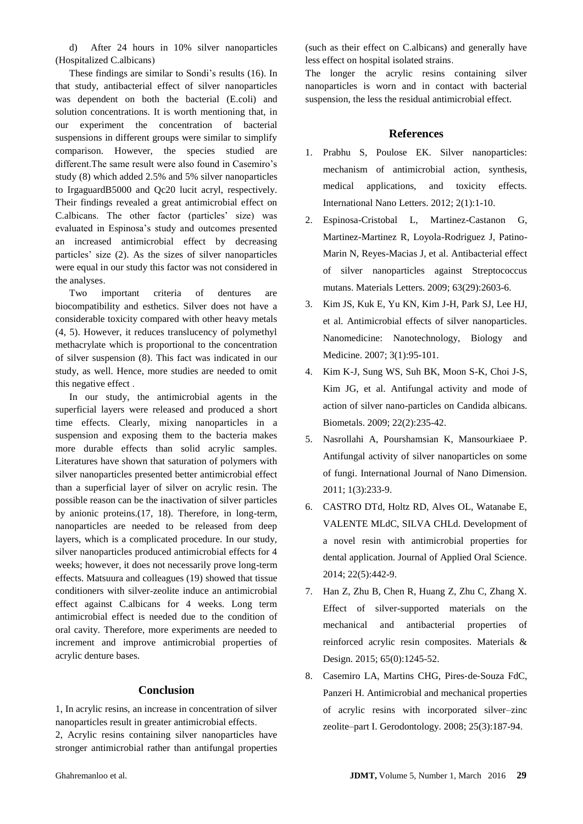d) After 24 hours in 10% silver nanoparticles (Hospitalized C.albicans)

These findings are similar to Sondi's results (16). In that study, antibacterial effect of silver nanoparticles was dependent on both the bacterial (E.coli) and solution concentrations. It is worth mentioning that, in our experiment the concentration of bacterial suspensions in different groups were similar to simplify comparison. However, the species studied are different.The same result were also found in Casemiro's study (8) which added 2.5% and 5% silver nanoparticles to IrgaguardB5000 and Qc20 lucit acryl, respectively. Their findings revealed a great antimicrobial effect on C.albicans. The other factor (particles' size) was evaluated in Espinosa's study and outcomes presented an increased antimicrobial effect by decreasing particles' size (2). As the sizes of silver nanoparticles were equal in our study this factor was not considered in the analyses.

Two important criteria of dentures are biocompatibility and esthetics. Silver does not have a considerable toxicity compared with other heavy metals (4, 5). However, it reduces translucency of polymethyl methacrylate which is proportional to the concentration of silver suspension (8). This fact was indicated in our study, as well. Hence, more studies are needed to omit this negative effect .

In our study, the antimicrobial agents in the superficial layers were released and produced a short time effects. Clearly, mixing nanoparticles in a suspension and exposing them to the bacteria makes more durable effects than solid acrylic samples. Literatures have shown that saturation of polymers with silver nanoparticles presented better antimicrobial effect than a superficial layer of silver on acrylic resin. The possible reason can be the inactivation of silver particles by anionic proteins.(17, 18). Therefore, in long-term, nanoparticles are needed to be released from deep layers, which is a complicated procedure. In our study, silver nanoparticles produced antimicrobial effects for 4 weeks; however, it does not necessarily prove long-term effects. Matsuura and colleagues (19) showed that tissue conditioners with silver-zeolite induce an antimicrobial effect against C.albicans for 4 weeks. Long term antimicrobial effect is needed due to the condition of oral cavity. Therefore, more experiments are needed to increment and improve antimicrobial properties of acrylic denture bases.

## **Conclusion**

1, In acrylic resins, an increase in concentration of silver nanoparticles result in greater antimicrobial effects. 2, Acrylic resins containing silver nanoparticles have stronger antimicrobial rather than antifungal properties

(such as their effect on C.albicans) and generally have less effect on hospital isolated strains.

The longer the acrylic resins containing silver nanoparticles is worn and in contact with bacterial suspension, the less the residual antimicrobial effect.

## **References**

- 1. Prabhu S, Poulose EK. Silver nanoparticles: mechanism of antimicrobial action, synthesis, medical applications, and toxicity effects. International Nano Letters. 2012; 2(1):1-10.
- 2. Espinosa-Cristobal L, Martinez-Castanon G, Martinez-Martinez R, Loyola-Rodriguez J, Patino-Marin N, Reyes-Macias J, et al. Antibacterial effect of silver nanoparticles against Streptococcus mutans. Materials Letters. 2009; 63(29):2603-6.
- 3. Kim JS, Kuk E, Yu KN, Kim J-H, Park SJ, Lee HJ, et al. Antimicrobial effects of silver nanoparticles. Nanomedicine: Nanotechnology, Biology and Medicine. 2007; 3(1):95-101.
- 4. Kim K-J, Sung WS, Suh BK, Moon S-K, Choi J-S, Kim JG, et al. Antifungal activity and mode of action of silver nano-particles on Candida albicans. Biometals. 2009; 22(2):235-42.
- 5. Nasrollahi A, Pourshamsian K, Mansourkiaee P. Antifungal activity of silver nanoparticles on some of fungi. International Journal of Nano Dimension. 2011; 1(3):233-9.
- 6. CASTRO DTd, Holtz RD, Alves OL, Watanabe E, VALENTE MLdC, SILVA CHLd. Development of a novel resin with antimicrobial properties for dental application. Journal of Applied Oral Science. 2014; 22(5):442-9.
- 7. Han Z, Zhu B, Chen R, Huang Z, Zhu C, Zhang X. Effect of silver-supported materials on the mechanical and antibacterial properties of reinforced acrylic resin composites. Materials & Design. 2015; 65(0):1245-52.
- 8. Casemiro LA, Martins CHG, Pires‐de‐Souza FdC, Panzeri H. Antimicrobial and mechanical properties of acrylic resins with incorporated silver–zinc zeolite–part I. Gerodontology. 2008; 25(3):187-94.